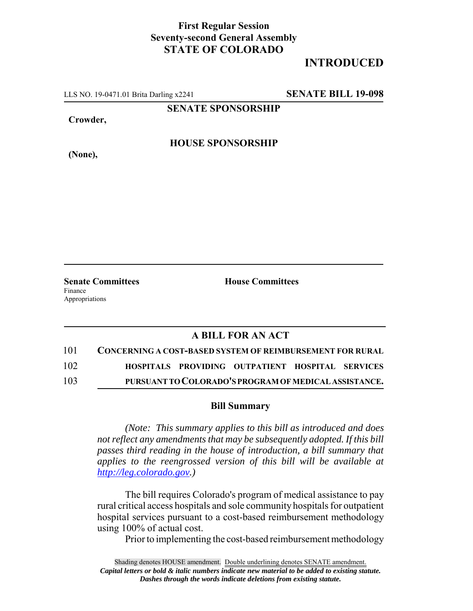## **First Regular Session Seventy-second General Assembly STATE OF COLORADO**

# **INTRODUCED**

LLS NO. 19-0471.01 Brita Darling x2241 **SENATE BILL 19-098**

**SENATE SPONSORSHIP**

**Crowder,**

**(None),**

### **HOUSE SPONSORSHIP**

**Senate Committees House Committees** Finance Appropriations

#### **A BILL FOR AN ACT**

| 101 | <b>CONCERNING A COST-BASED SYSTEM OF REIMBURSEMENT FOR RURAL</b> |                                                  |  |
|-----|------------------------------------------------------------------|--------------------------------------------------|--|
| 102 |                                                                  | HOSPITALS PROVIDING OUTPATIENT HOSPITAL SERVICES |  |

103 **PURSUANT TO COLORADO'S PROGRAM OF MEDICAL ASSISTANCE.**

#### **Bill Summary**

*(Note: This summary applies to this bill as introduced and does not reflect any amendments that may be subsequently adopted. If this bill passes third reading in the house of introduction, a bill summary that applies to the reengrossed version of this bill will be available at http://leg.colorado.gov.)*

The bill requires Colorado's program of medical assistance to pay rural critical access hospitals and sole community hospitals for outpatient hospital services pursuant to a cost-based reimbursement methodology using 100% of actual cost.

Prior to implementing the cost-based reimbursement methodology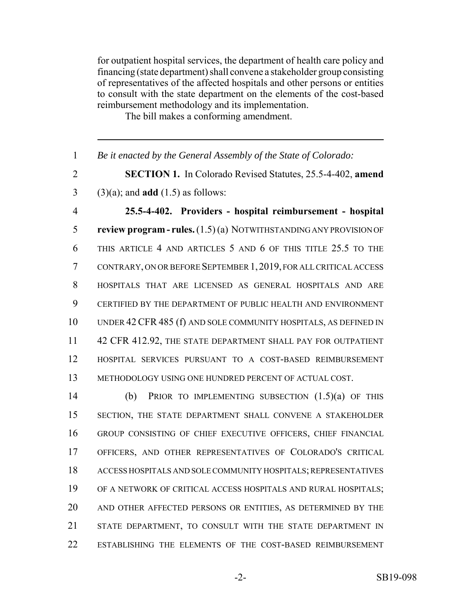for outpatient hospital services, the department of health care policy and financing (state department) shall convene a stakeholder group consisting of representatives of the affected hospitals and other persons or entities to consult with the state department on the elements of the cost-based reimbursement methodology and its implementation.

The bill makes a conforming amendment.

 *Be it enacted by the General Assembly of the State of Colorado:* **SECTION 1.** In Colorado Revised Statutes, 25.5-4-402, **amend** (3)(a); and **add** (1.5) as follows: **25.5-4-402. Providers - hospital reimbursement - hospital review program - rules.** (1.5) (a) NOTWITHSTANDING ANY PROVISION OF THIS ARTICLE 4 AND ARTICLES 5 AND 6 OF THIS TITLE 25.5 TO THE CONTRARY, ON OR BEFORE SEPTEMBER 1,2019, FOR ALL CRITICAL ACCESS HOSPITALS THAT ARE LICENSED AS GENERAL HOSPITALS AND ARE CERTIFIED BY THE DEPARTMENT OF PUBLIC HEALTH AND ENVIRONMENT UNDER 42CFR 485 (f) AND SOLE COMMUNITY HOSPITALS, AS DEFINED IN 11 42 CFR 412.92, THE STATE DEPARTMENT SHALL PAY FOR OUTPATIENT HOSPITAL SERVICES PURSUANT TO A COST-BASED REIMBURSEMENT METHODOLOGY USING ONE HUNDRED PERCENT OF ACTUAL COST. (b) PRIOR TO IMPLEMENTING SUBSECTION (1.5)(a) OF THIS SECTION, THE STATE DEPARTMENT SHALL CONVENE A STAKEHOLDER GROUP CONSISTING OF CHIEF EXECUTIVE OFFICERS, CHIEF FINANCIAL OFFICERS, AND OTHER REPRESENTATIVES OF COLORADO'S CRITICAL

 ACCESS HOSPITALS AND SOLE COMMUNITY HOSPITALS; REPRESENTATIVES OF A NETWORK OF CRITICAL ACCESS HOSPITALS AND RURAL HOSPITALS; AND OTHER AFFECTED PERSONS OR ENTITIES, AS DETERMINED BY THE STATE DEPARTMENT, TO CONSULT WITH THE STATE DEPARTMENT IN

ESTABLISHING THE ELEMENTS OF THE COST-BASED REIMBURSEMENT